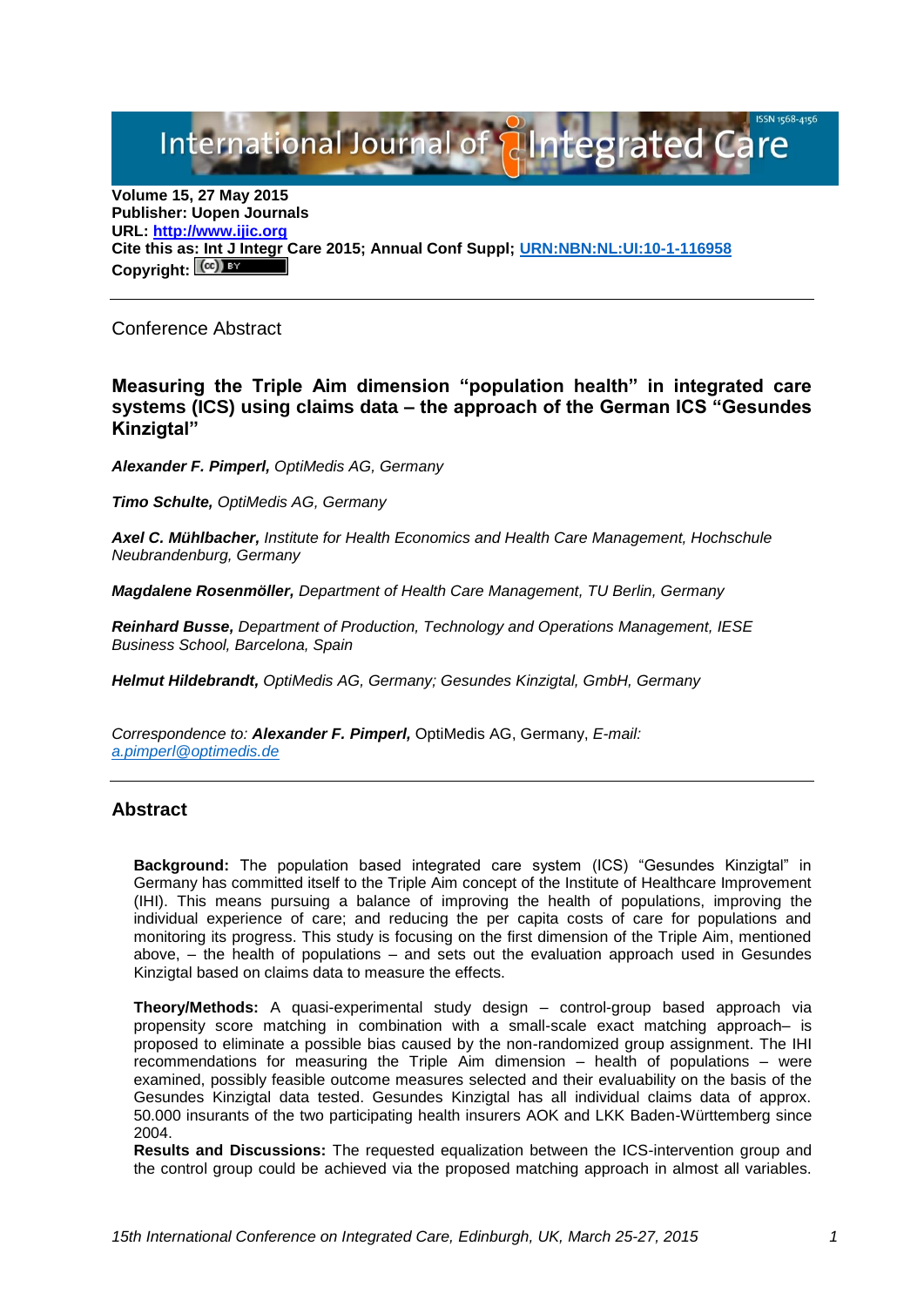International Journal of **Alntegrated Care** 

**Volume 15, 27 May 2015 Publisher: Uopen Journals URL: [http://www.ijic.org](http://www.ijic.org/) Cite this as: Int J Integr Care 2015; Annual Conf Suppl; [URN:NBN:NL:UI:10-1-116958](http://persistent-identifier.nl/?identifier=URN:NBN:NL:UI:10-1-116958)** Copyright: <sup>(cc)</sup>

Conference Abstract

## **Measuring the Triple Aim dimension "population health" in integrated care systems (ICS) using claims data – the approach of the German ICS "Gesundes Kinzigtal"**

*Alexander F. Pimperl, OptiMedis AG, Germany*

*Timo Schulte, OptiMedis AG, Germany*

*Axel C. Mühlbacher, Institute for Health Economics and Health Care Management, Hochschule Neubrandenburg, Germany*

*Magdalene Rosenmöller, Department of Health Care Management, TU Berlin, Germany*

*Reinhard Busse, Department of Production, Technology and Operations Management, IESE Business School, Barcelona, Spain*

*Helmut Hildebrandt, OptiMedis AG, Germany; Gesundes Kinzigtal, GmbH, Germany*

*Correspondence to: Alexander F. Pimperl,* OptiMedis AG, Germany, *E-mail: [a.pimperl@optimedis.de](mailto:a.pimperl@optimedis.de)*

## **Abstract**

**Background:** The population based integrated care system (ICS) "Gesundes Kinzigtal" in Germany has committed itself to the Triple Aim concept of the Institute of Healthcare Improvement (IHI). This means pursuing a balance of improving the health of populations, improving the individual experience of care; and reducing the per capita costs of care for populations and monitoring its progress. This study is focusing on the first dimension of the Triple Aim, mentioned above, – the health of populations – and sets out the evaluation approach used in Gesundes Kinzigtal based on claims data to measure the effects.

**Theory/Methods:** A quasi-experimental study design – control-group based approach via propensity score matching in combination with a small-scale exact matching approach– is proposed to eliminate a possible bias caused by the non-randomized group assignment. The IHI recommendations for measuring the Triple Aim dimension – health of populations – were examined, possibly feasible outcome measures selected and their evaluability on the basis of the Gesundes Kinzigtal data tested. Gesundes Kinzigtal has all individual claims data of approx. 50.000 insurants of the two participating health insurers AOK and LKK Baden-Württemberg since 2004.

**Results and Discussions:** The requested equalization between the ICS-intervention group and the control group could be achieved via the proposed matching approach in almost all variables.